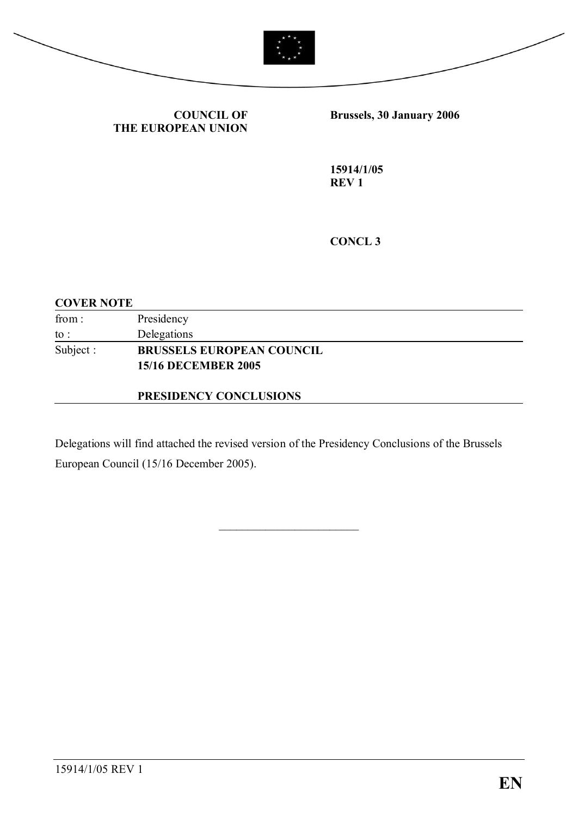



**COUNCIL OF THE EUROPEAN UNION** **Brussels, 30 January 2006**

**15914/1/05 REV 1**

**CONCL 3**

#### **COVER NOTE**

| from:           | Presidency                       |  |
|-----------------|----------------------------------|--|
| $\mathrm{to}$ : | Delegations                      |  |
| Subject :       | <b>BRUSSELS EUROPEAN COUNCIL</b> |  |
|                 | <b>15/16 DECEMBER 2005</b>       |  |

#### **PRESIDENCY CONCLUSIONS**

Delegations will find attached the revised version of the Presidency Conclusions of the Brussels European Council (15/16 December 2005).

 $\overline{\phantom{a}}$  , which is a set of the set of the set of the set of the set of the set of the set of the set of the set of the set of the set of the set of the set of the set of the set of the set of the set of the set of th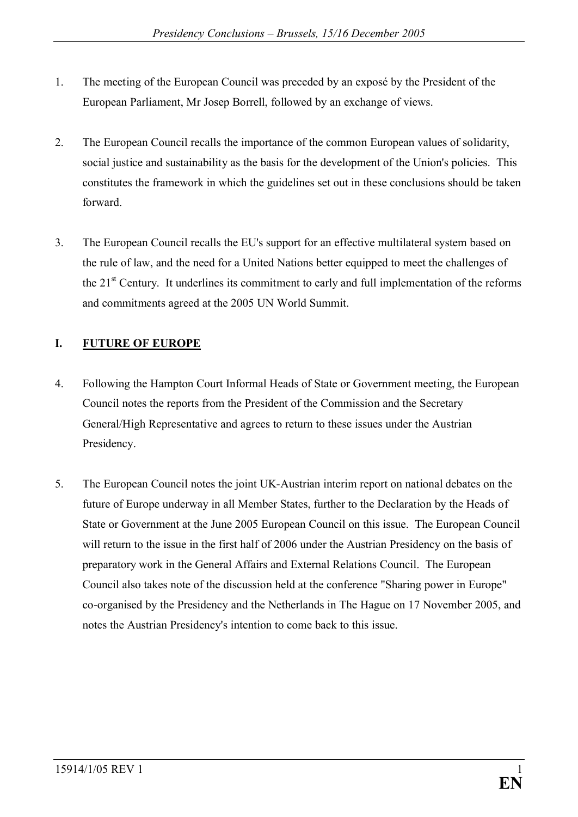- 1. The meeting of the European Council was preceded by an exposé by the President of the European Parliament, Mr Josep Borrell, followed by an exchange of views.
- 2. The European Council recalls the importance of the common European values of solidarity, social justice and sustainability as the basis for the development of the Union's policies. This constitutes the framework in which the guidelines set out in these conclusions should be taken forward.
- 3. The European Council recalls the EU's support for an effective multilateral system based on the rule of law, and the need for a United Nations better equipped to meet the challenges of the  $21<sup>st</sup>$  Century. It underlines its commitment to early and full implementation of the reforms and commitments agreed at the 2005 UN World Summit.

## **I. FUTURE OF EUROPE**

- 4. Following the Hampton Court Informal Heads of State or Government meeting, the European Council notes the reports from the President of the Commission and the Secretary General/High Representative and agrees to return to these issues under the Austrian Presidency.
- 5. The European Council notes the joint UK-Austrian interim report on national debates on the future of Europe underway in all Member States, further to the Declaration by the Heads of State or Government at the June 2005 European Council on this issue. The European Council will return to the issue in the first half of 2006 under the Austrian Presidency on the basis of preparatory work in the General Affairs and External Relations Council. The European Council also takes note of the discussion held at the conference "Sharing power in Europe" co-organised by the Presidency and the Netherlands in The Hague on 17 November 2005, and notes the Austrian Presidency's intention to come back to this issue.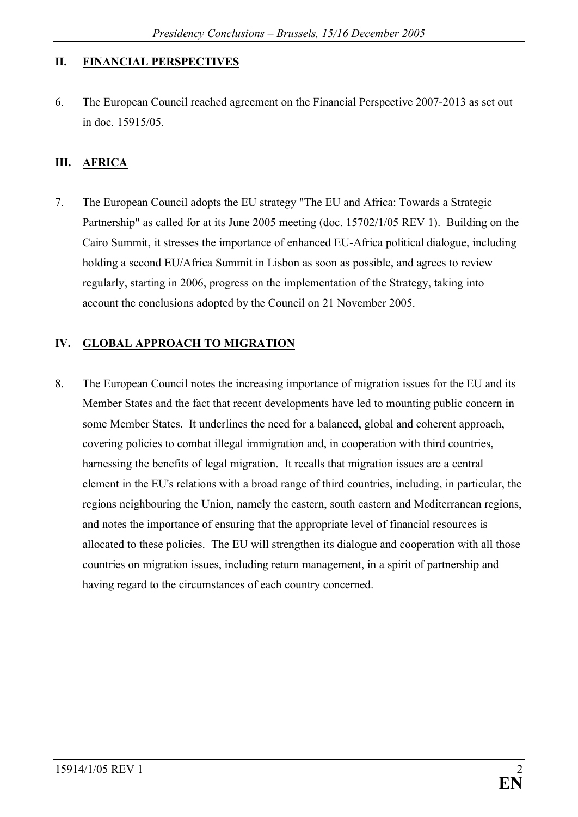### **II. FINANCIAL PERSPECTIVES**

6. The European Council reached agreement on the Financial Perspective 2007-2013 as set out in doc. 15915/05.

### **III. AFRICA**

7. The European Council adopts the EU strategy "The EU and Africa: Towards a Strategic Partnership" as called for at its June 2005 meeting (doc. 15702/1/05 REV 1). Building on the Cairo Summit, it stresses the importance of enhanced EU-Africa political dialogue, including holding a second EU/Africa Summit in Lisbon as soon as possible, and agrees to review regularly, starting in 2006, progress on the implementation of the Strategy, taking into account the conclusions adopted by the Council on 21 November 2005.

### **IV. GLOBAL APPROACH TO MIGRATION**

8. The European Council notes the increasing importance of migration issues for the EU and its Member States and the fact that recent developments have led to mounting public concern in some Member States. It underlines the need for a balanced, global and coherent approach, covering policies to combat illegal immigration and, in cooperation with third countries, harnessing the benefits of legal migration. It recalls that migration issues are a central element in the EU's relations with a broad range of third countries, including, in particular, the regions neighbouring the Union, namely the eastern, south eastern and Mediterranean regions, and notes the importance of ensuring that the appropriate level of financial resources is allocated to these policies. The EU will strengthen its dialogue and cooperation with all those countries on migration issues, including return management, in a spirit of partnership and having regard to the circumstances of each country concerned.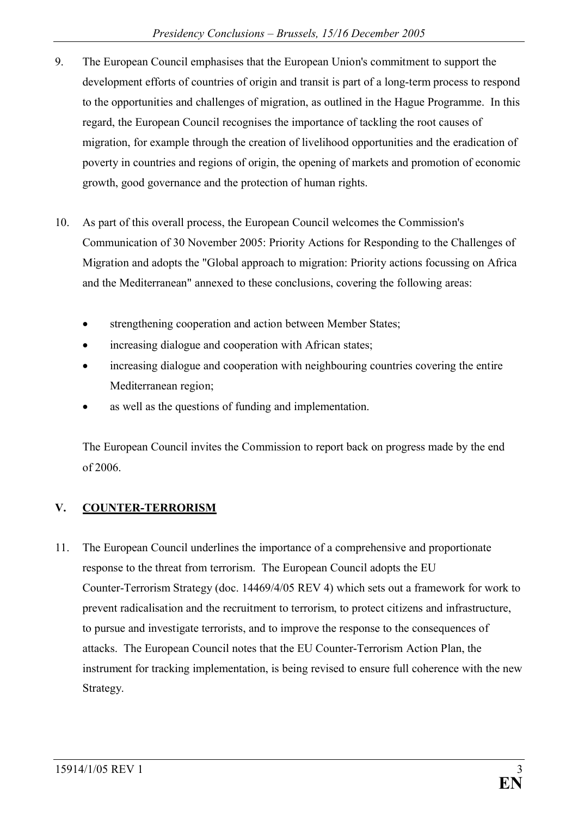- 9. The European Council emphasises that the European Union's commitment to support the development efforts of countries of origin and transit is part of a long-term process to respond to the opportunities and challenges of migration, as outlined in the Hague Programme. In this regard, the European Council recognises the importance of tackling the root causes of migration, for example through the creation of livelihood opportunities and the eradication of poverty in countries and regions of origin, the opening of markets and promotion of economic growth, good governance and the protection of human rights.
- 10. As part of this overall process, the European Council welcomes the Commission's Communication of 30 November 2005: Priority Actions for Responding to the Challenges of Migration and adopts the "Global approach to migration: Priority actions focussing on Africa and the Mediterranean" annexed to these conclusions, covering the following areas:
	- strengthening cooperation and action between Member States;
	- increasing dialogue and cooperation with African states;
	- increasing dialogue and cooperation with neighbouring countries covering the entire Mediterranean region;
	- as well as the questions of funding and implementation.

The European Council invites the Commission to report back on progress made by the end of 2006.

# **V. COUNTER-TERRORISM**

11. The European Council underlines the importance of a comprehensive and proportionate response to the threat from terrorism. The European Council adopts the EU Counter-Terrorism Strategy (doc. 14469/4/05 REV 4) which sets out a framework for work to prevent radicalisation and the recruitment to terrorism, to protect citizens and infrastructure, to pursue and investigate terrorists, and to improve the response to the consequences of attacks. The European Council notes that the EU Counter-Terrorism Action Plan, the instrument for tracking implementation, is being revised to ensure full coherence with the new Strategy.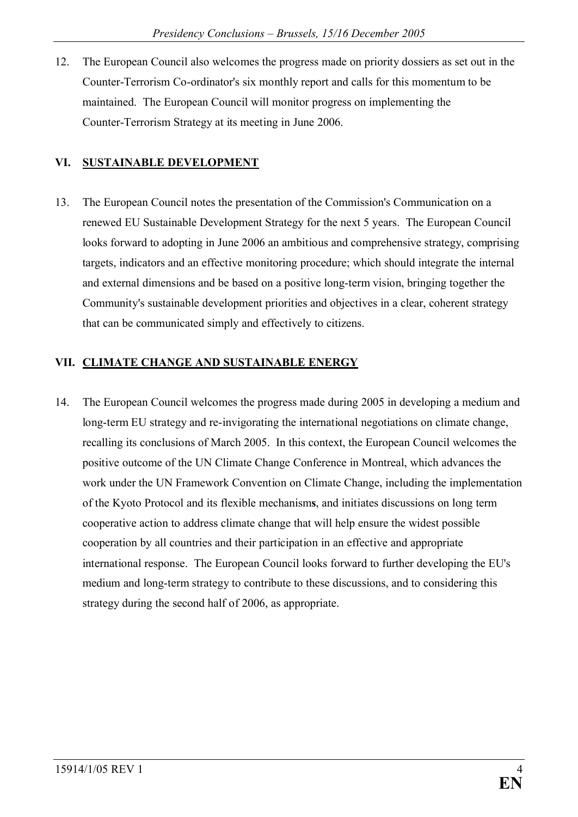12. The European Council also welcomes the progress made on priority dossiers as set out in the Counter-Terrorism Co-ordinator's six monthly report and calls for this momentum to be maintained. The European Council will monitor progress on implementing the Counter-Terrorism Strategy at its meeting in June 2006.

## **VI. SUSTAINABLE DEVELOPMENT**

13. The European Council notes the presentation of the Commission's Communication on a renewed EU Sustainable Development Strategy for the next 5 years. The European Council looks forward to adopting in June 2006 an ambitious and comprehensive strategy, comprising targets, indicators and an effective monitoring procedure; which should integrate the internal and external dimensions and be based on a positive long-term vision, bringing together the Community's sustainable development priorities and objectives in a clear, coherent strategy that can be communicated simply and effectively to citizens.

### **VII. CLIMATE CHANGE AND SUSTAINABLE ENERGY**

14. The European Council welcomes the progress made during 2005 in developing a medium and long-term EU strategy and re-invigorating the international negotiations on climate change, recalling its conclusions of March 2005. In this context, the European Council welcomes the positive outcome of the UN Climate Change Conference in Montreal, which advances the work under the UN Framework Convention on Climate Change, including the implementation of the Kyoto Protocol and its flexible mechanism**s**, and initiates discussions on long term cooperative action to address climate change that will help ensure the widest possible cooperation by all countries and their participation in an effective and appropriate international response. The European Council looks forward to further developing the EU's medium and long-term strategy to contribute to these discussions, and to considering this strategy during the second half of 2006, as appropriate.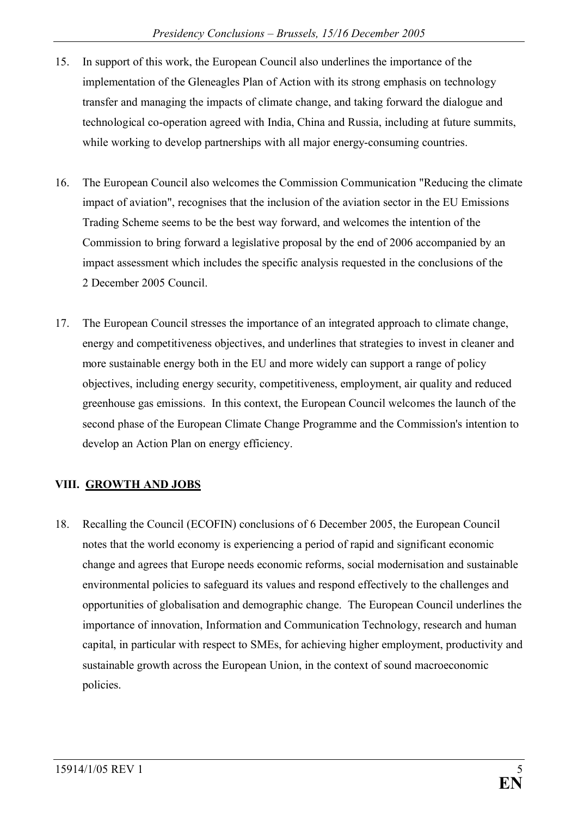- 15. In support of this work, the European Council also underlines the importance of the implementation of the Gleneagles Plan of Action with its strong emphasis on technology transfer and managing the impacts of climate change, and taking forward the dialogue and technological co-operation agreed with India, China and Russia, including at future summits, while working to develop partnerships with all major energy-consuming countries.
- 16. The European Council also welcomes the Commission Communication "Reducing the climate impact of aviation", recognises that the inclusion of the aviation sector in the EU Emissions Trading Scheme seems to be the best way forward, and welcomes the intention of the Commission to bring forward a legislative proposal by the end of 2006 accompanied by an impact assessment which includes the specific analysis requested in the conclusions of the 2 December 2005 Council.
- 17. The European Council stresses the importance of an integrated approach to climate change, energy and competitiveness objectives, and underlines that strategies to invest in cleaner and more sustainable energy both in the EU and more widely can support a range of policy objectives, including energy security, competitiveness, employment, air quality and reduced greenhouse gas emissions. In this context, the European Council welcomes the launch of the second phase of the European Climate Change Programme and the Commission's intention to develop an Action Plan on energy efficiency.

### **VIII. GROWTH AND JOBS**

18. Recalling the Council (ECOFIN) conclusions of 6 December 2005, the European Council notes that the world economy is experiencing a period of rapid and significant economic change and agrees that Europe needs economic reforms, social modernisation and sustainable environmental policies to safeguard its values and respond effectively to the challenges and opportunities of globalisation and demographic change. The European Council underlines the importance of innovation, Information and Communication Technology, research and human capital, in particular with respect to SMEs, for achieving higher employment, productivity and sustainable growth across the European Union, in the context of sound macroeconomic policies.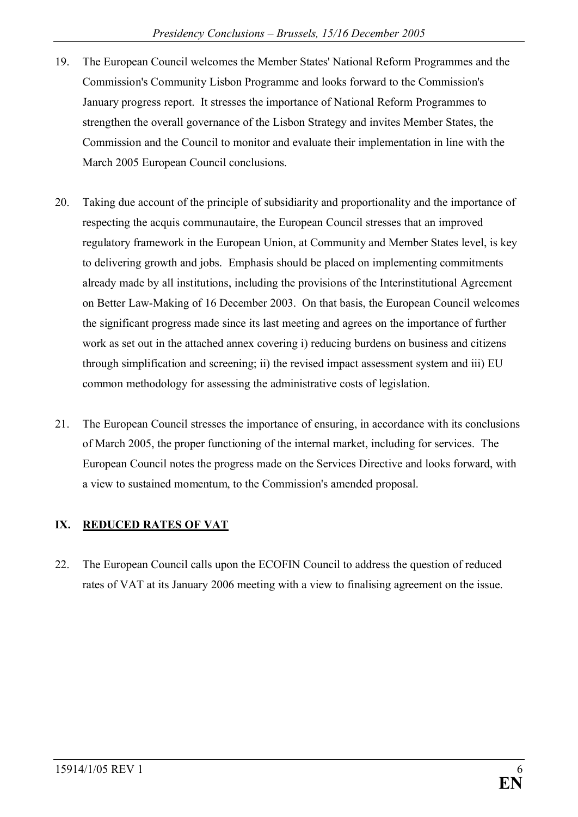- 19. The European Council welcomes the Member States' National Reform Programmes and the Commission's Community Lisbon Programme and looks forward to the Commission's January progress report. It stresses the importance of National Reform Programmes to strengthen the overall governance of the Lisbon Strategy and invites Member States, the Commission and the Council to monitor and evaluate their implementation in line with the March 2005 European Council conclusions.
- 20. Taking due account of the principle of subsidiarity and proportionality and the importance of respecting the acquis communautaire, the European Council stresses that an improved regulatory framework in the European Union, at Community and Member States level, is key to delivering growth and jobs. Emphasis should be placed on implementing commitments already made by all institutions, including the provisions of the Interinstitutional Agreement on Better Law-Making of 16 December 2003. On that basis, the European Council welcomes the significant progress made since its last meeting and agrees on the importance of further work as set out in the attached annex covering i) reducing burdens on business and citizens through simplification and screening; ii) the revised impact assessment system and iii) EU common methodology for assessing the administrative costs of legislation.
- 21. The European Council stresses the importance of ensuring, in accordance with its conclusions of March 2005, the proper functioning of the internal market, including for services. The European Council notes the progress made on the Services Directive and looks forward, with a view to sustained momentum, to the Commission's amended proposal.

### **IX. REDUCED RATES OF VAT**

22. The European Council calls upon the ECOFIN Council to address the question of reduced rates of VAT at its January 2006 meeting with a view to finalising agreement on the issue.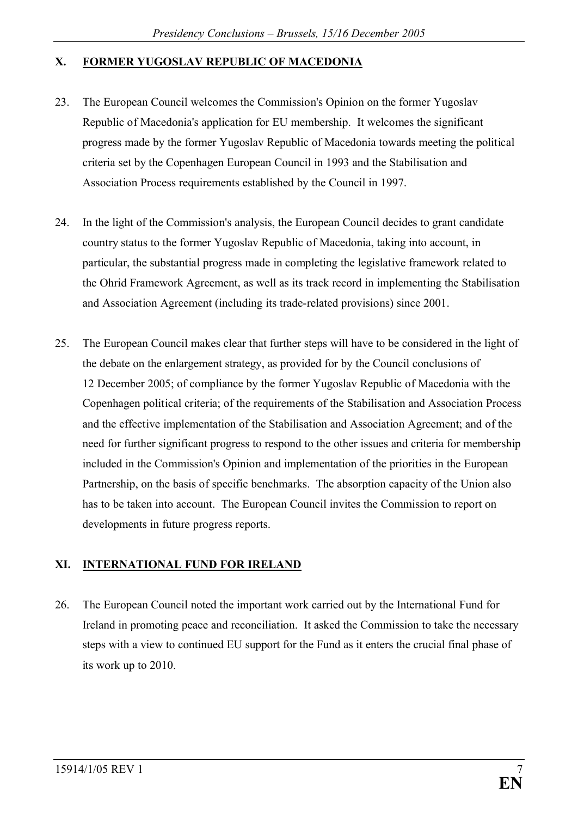### **X. FORMER YUGOSLAV REPUBLIC OF MACEDONIA**

- 23. The European Council welcomes the Commission's Opinion on the former Yugoslav Republic of Macedonia's application for EU membership. It welcomes the significant progress made by the former Yugoslav Republic of Macedonia towards meeting the political criteria set by the Copenhagen European Council in 1993 and the Stabilisation and Association Process requirements established by the Council in 1997.
- 24. In the light of the Commission's analysis, the European Council decides to grant candidate country status to the former Yugoslav Republic of Macedonia, taking into account, in particular, the substantial progress made in completing the legislative framework related to the Ohrid Framework Agreement, as well as its track record in implementing the Stabilisation and Association Agreement (including its trade-related provisions) since 2001.
- 25. The European Council makes clear that further steps will have to be considered in the light of the debate on the enlargement strategy, as provided for by the Council conclusions of 12 December 2005; of compliance by the former Yugoslav Republic of Macedonia with the Copenhagen political criteria; of the requirements of the Stabilisation and Association Process and the effective implementation of the Stabilisation and Association Agreement; and of the need for further significant progress to respond to the other issues and criteria for membership included in the Commission's Opinion and implementation of the priorities in the European Partnership, on the basis of specific benchmarks. The absorption capacity of the Union also has to be taken into account. The European Council invites the Commission to report on developments in future progress reports.

### **XI. INTERNATIONAL FUND FOR IRELAND**

26. The European Council noted the important work carried out by the International Fund for Ireland in promoting peace and reconciliation. It asked the Commission to take the necessary steps with a view to continued EU support for the Fund as it enters the crucial final phase of its work up to 2010.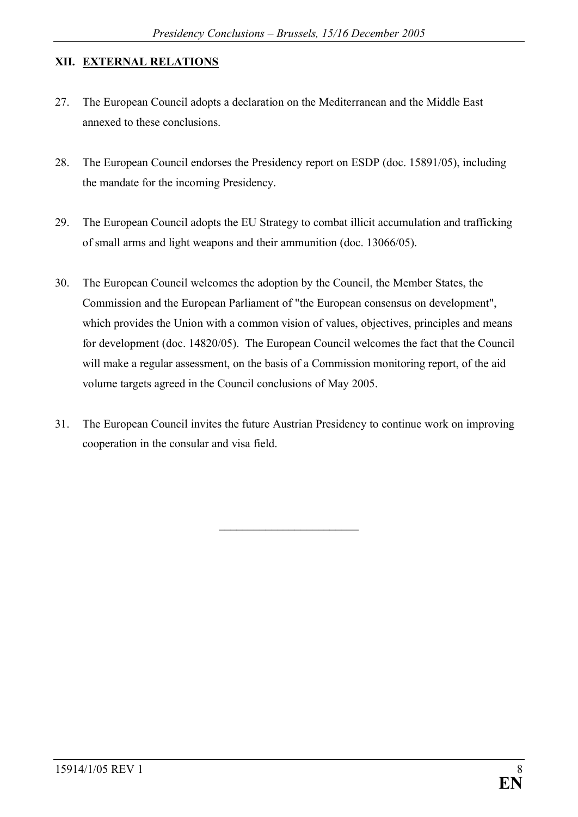#### **XII. EXTERNAL RELATIONS**

- 27. The European Council adopts a declaration on the Mediterranean and the Middle East annexed to these conclusions.
- 28. The European Council endorses the Presidency report on ESDP (doc. 15891/05), including the mandate for the incoming Presidency.
- 29. The European Council adopts the EU Strategy to combat illicit accumulation and trafficking of small arms and light weapons and their ammunition (doc. 13066/05).
- 30. The European Council welcomes the adoption by the Council, the Member States, the Commission and the European Parliament of "the European consensus on development", which provides the Union with a common vision of values, objectives, principles and means for development (doc. 14820/05). The European Council welcomes the fact that the Council will make a regular assessment, on the basis of a Commission monitoring report, of the aid volume targets agreed in the Council conclusions of May 2005.
- 31. The European Council invites the future Austrian Presidency to continue work on improving cooperation in the consular and visa field.

\_\_\_\_\_\_\_\_\_\_\_\_\_\_\_\_\_\_\_\_\_\_\_\_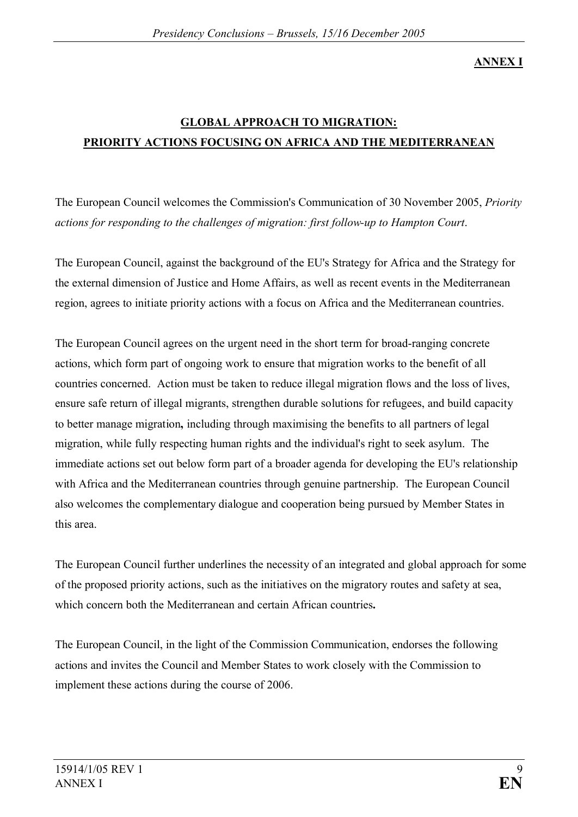**ANNEX I**

# **GLOBAL APPROACH TO MIGRATION: PRIORITY ACTIONS FOCUSING ON AFRICA AND THE MEDITERRANEAN**

The European Council welcomes the Commission's Communication of 30 November 2005, *Priority actions for responding to the challenges of migration: first follow-up to Hampton Court*.

The European Council, against the background of the EU's Strategy for Africa and the Strategy for the external dimension of Justice and Home Affairs, as well as recent events in the Mediterranean region, agrees to initiate priority actions with a focus on Africa and the Mediterranean countries.

The European Council agrees on the urgent need in the short term for broad-ranging concrete actions, which form part of ongoing work to ensure that migration works to the benefit of all countries concerned. Action must be taken to reduce illegal migration flows and the loss of lives, ensure safe return of illegal migrants, strengthen durable solutions for refugees, and build capacity to better manage migration**,** including through maximising the benefits to all partners of legal migration, while fully respecting human rights and the individual's right to seek asylum. The immediate actions set out below form part of a broader agenda for developing the EU's relationship with Africa and the Mediterranean countries through genuine partnership. The European Council also welcomes the complementary dialogue and cooperation being pursued by Member States in this area.

The European Council further underlines the necessity of an integrated and global approach for some of the proposed priority actions, such as the initiatives on the migratory routes and safety at sea, which concern both the Mediterranean and certain African countries**.**

The European Council, in the light of the Commission Communication, endorses the following actions and invites the Council and Member States to work closely with the Commission to implement these actions during the course of 2006.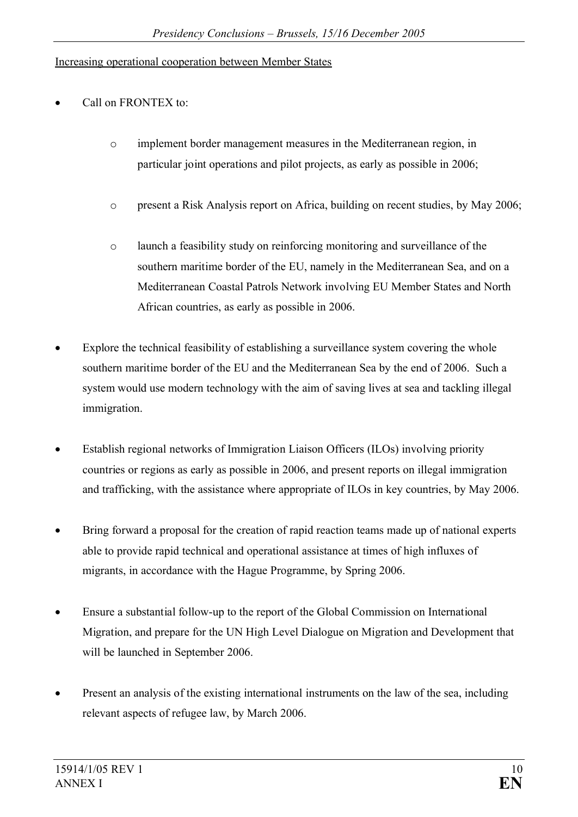#### Increasing operational cooperation between Member States

- Call on FRONTEX to:
	- $\circ$  implement border management measures in the Mediterranean region, in particular joint operations and pilot projects, as early as possible in 2006;
	- o present a Risk Analysis report on Africa, building on recent studies, by May 2006;
	- o launch a feasibility study on reinforcing monitoring and surveillance of the southern maritime border of the EU, namely in the Mediterranean Sea, and on a Mediterranean Coastal Patrols Network involving EU Member States and North African countries, as early as possible in 2006.
- Explore the technical feasibility of establishing a surveillance system covering the whole southern maritime border of the EU and the Mediterranean Sea by the end of 2006. Such a system would use modern technology with the aim of saving lives at sea and tackling illegal immigration.
- Establish regional networks of Immigration Liaison Officers (ILOs) involving priority countries or regions as early as possible in 2006, and present reports on illegal immigration and trafficking, with the assistance where appropriate of ILOs in key countries, by May 2006.
- Bring forward a proposal for the creation of rapid reaction teams made up of national experts able to provide rapid technical and operational assistance at times of high influxes of migrants, in accordance with the Hague Programme, by Spring 2006.
- Ensure a substantial follow-up to the report of the Global Commission on International Migration, and prepare for the UN High Level Dialogue on Migration and Development that will be launched in September 2006.
- Present an analysis of the existing international instruments on the law of the sea, including relevant aspects of refugee law, by March 2006.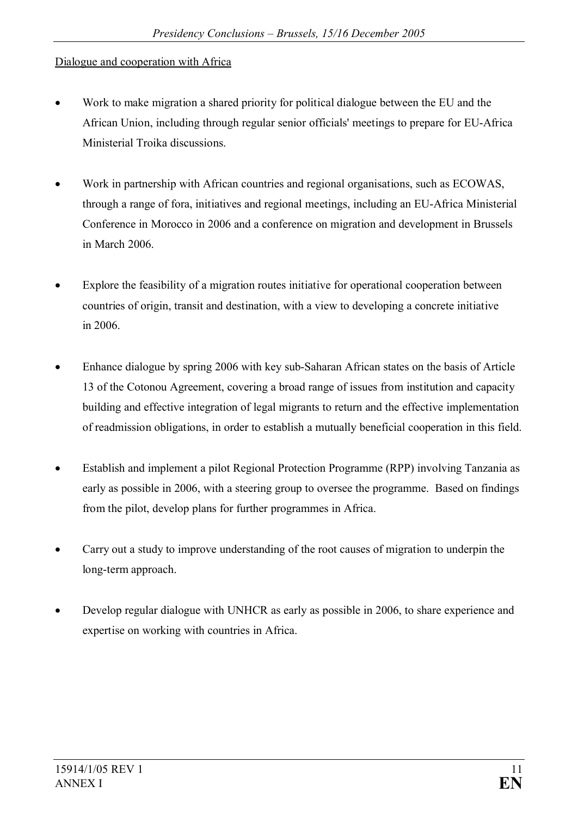### Dialogue and cooperation with Africa

- · Work to make migration a shared priority for political dialogue between the EU and the African Union, including through regular senior officials' meetings to prepare for EU-Africa Ministerial Troika discussions.
- Work in partnership with African countries and regional organisations, such as ECOWAS, through a range of fora, initiatives and regional meetings, including an EU-Africa Ministerial Conference in Morocco in 2006 and a conference on migration and development in Brussels in March 2006.
- Explore the feasibility of a migration routes initiative for operational cooperation between countries of origin, transit and destination, with a view to developing a concrete initiative in 2006.
- Enhance dialogue by spring 2006 with key sub-Saharan African states on the basis of Article 13 of the Cotonou Agreement, covering a broad range of issues from institution and capacity building and effective integration of legal migrants to return and the effective implementation of readmission obligations, in order to establish a mutually beneficial cooperation in this field.
- Establish and implement a pilot Regional Protection Programme (RPP) involving Tanzania as early as possible in 2006, with a steering group to oversee the programme. Based on findings from the pilot, develop plans for further programmes in Africa.
- Carry out a study to improve understanding of the root causes of migration to underpin the long-term approach.
- Develop regular dialogue with UNHCR as early as possible in 2006, to share experience and expertise on working with countries in Africa.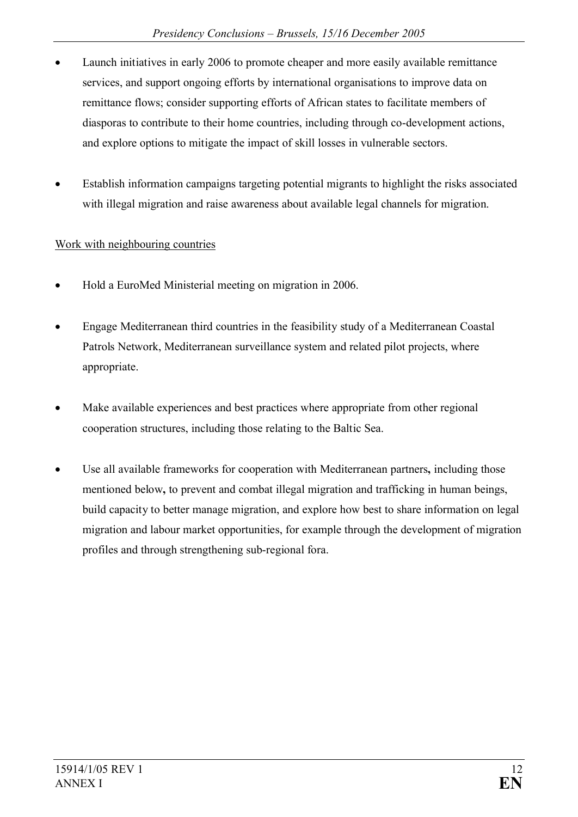- Launch initiatives in early 2006 to promote cheaper and more easily available remittance services, and support ongoing efforts by international organisations to improve data on remittance flows; consider supporting efforts of African states to facilitate members of diasporas to contribute to their home countries, including through co-development actions, and explore options to mitigate the impact of skill losses in vulnerable sectors.
- Establish information campaigns targeting potential migrants to highlight the risks associated with illegal migration and raise awareness about available legal channels for migration.

### Work with neighbouring countries

- · Hold a EuroMed Ministerial meeting on migration in 2006.
- Engage Mediterranean third countries in the feasibility study of a Mediterranean Coastal Patrols Network, Mediterranean surveillance system and related pilot projects, where appropriate.
- · Make available experiences and best practices where appropriate from other regional cooperation structures, including those relating to the Baltic Sea.
- Use all available frameworks for cooperation with Mediterranean partners, including those mentioned below**,** to prevent and combat illegal migration and trafficking in human beings, build capacity to better manage migration, and explore how best to share information on legal migration and labour market opportunities, for example through the development of migration profiles and through strengthening sub-regional fora.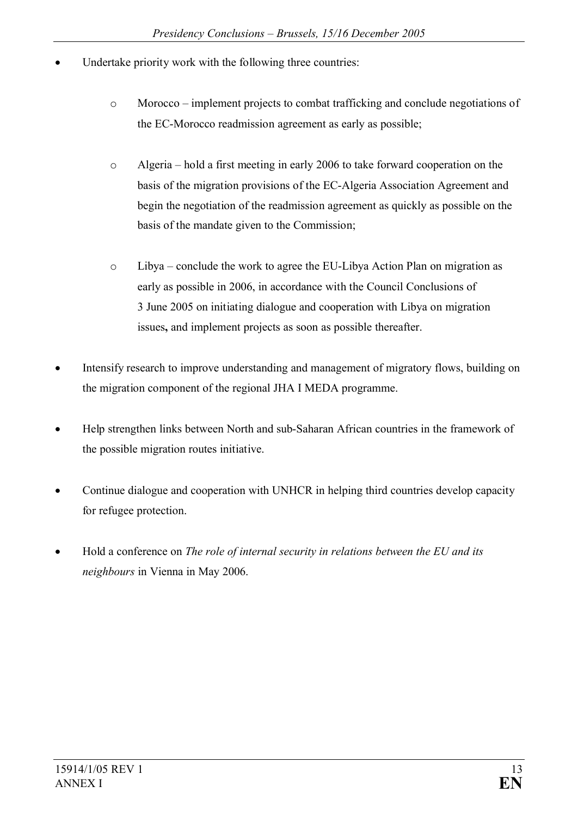- Undertake priority work with the following three countries:
	- o Morocco implement projects to combat trafficking and conclude negotiations of the EC-Morocco readmission agreement as early as possible;
	- o Algeria hold a first meeting in early 2006 to take forward cooperation on the basis of the migration provisions of the EC-Algeria Association Agreement and begin the negotiation of the readmission agreement as quickly as possible on the basis of the mandate given to the Commission;
	- o Libya conclude the work to agree the EU-Libya Action Plan on migration as early as possible in 2006, in accordance with the Council Conclusions of 3 June 2005 on initiating dialogue and cooperation with Libya on migration issues**,** and implement projects as soon as possible thereafter.
- Intensify research to improve understanding and management of migratory flows, building on the migration component of the regional JHA I MEDA programme.
- · Help strengthen links between North and sub-Saharan African countries in the framework of the possible migration routes initiative.
- Continue dialogue and cooperation with UNHCR in helping third countries develop capacity for refugee protection.
- · Hold a conference on *The role of internal security in relations between the EU and its neighbours* in Vienna in May 2006.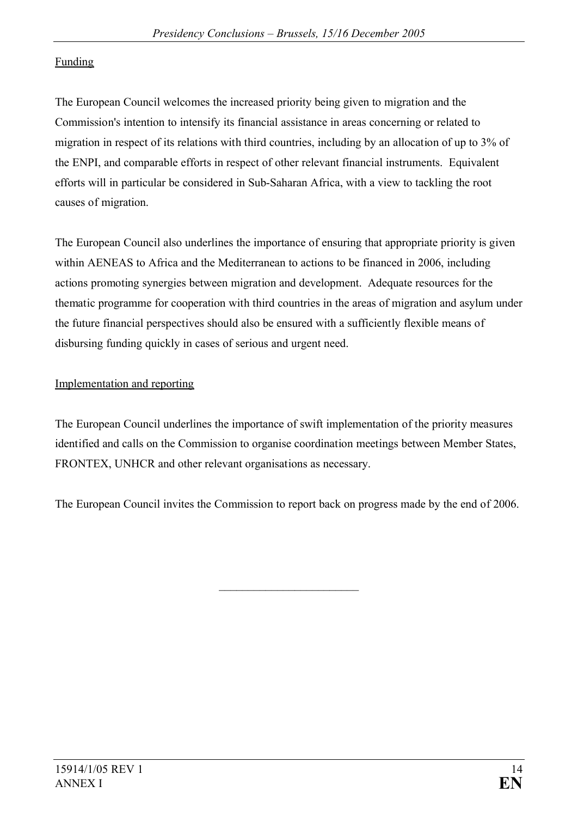### Funding

The European Council welcomes the increased priority being given to migration and the Commission's intention to intensify its financial assistance in areas concerning or related to migration in respect of its relations with third countries, including by an allocation of up to 3% of the ENPI, and comparable efforts in respect of other relevant financial instruments. Equivalent efforts will in particular be considered in Sub-Saharan Africa, with a view to tackling the root causes of migration.

The European Council also underlines the importance of ensuring that appropriate priority is given within AENEAS to Africa and the Mediterranean to actions to be financed in 2006, including actions promoting synergies between migration and development. Adequate resources for the thematic programme for cooperation with third countries in the areas of migration and asylum under the future financial perspectives should also be ensured with a sufficiently flexible means of disbursing funding quickly in cases of serious and urgent need.

### Implementation and reporting

The European Council underlines the importance of swift implementation of the priority measures identified and calls on the Commission to organise coordination meetings between Member States, FRONTEX, UNHCR and other relevant organisations as necessary.

The European Council invites the Commission to report back on progress made by the end of 2006.

\_\_\_\_\_\_\_\_\_\_\_\_\_\_\_\_\_\_\_\_\_\_\_\_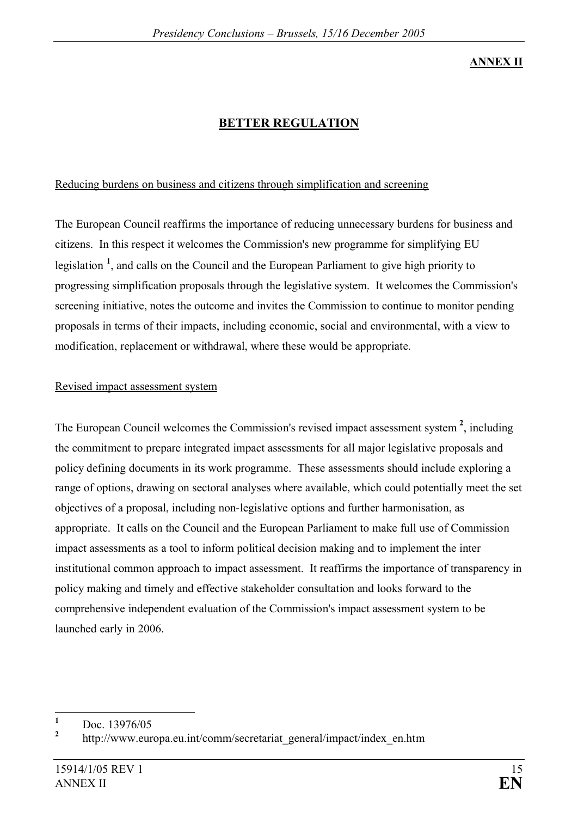#### **ANNEX II**

# **BETTER REGULATION**

### Reducing burdens on business and citizens through simplification and screening

The European Council reaffirms the importance of reducing unnecessary burdens for business and citizens. In this respect it welcomes the Commission's new programme for simplifying EU legislation<sup>1</sup>, and calls on the Council and the European Parliament to give high priority to progressing simplification proposals through the legislative system. It welcomes the Commission's screening initiative, notes the outcome and invites the Commission to continue to monitor pending proposals in terms of their impacts, including economic, social and environmental, with a view to modification, replacement or withdrawal, where these would be appropriate.

#### Revised impact assessment system

The European Council welcomes the Commission's revised impact assessment system **<sup>2</sup>** , including the commitment to prepare integrated impact assessments for all major legislative proposals and policy defining documents in its work programme. These assessments should include exploring a range of options, drawing on sectoral analyses where available, which could potentially meet the set objectives of a proposal, including non-legislative options and further harmonisation, as appropriate. It calls on the Council and the European Parliament to make full use of Commission impact assessments as a tool to inform political decision making and to implement the inter institutional common approach to impact assessment. It reaffirms the importance of transparency in policy making and timely and effective stakeholder consultation and looks forward to the comprehensive independent evaluation of the Commission's impact assessment system to be launched early in 2006.

**<sup>1</sup>** Doc. 13976/05

**<sup>2</sup>** http://www.europa.eu.int/comm/secretariat\_general/impact/index\_en.htm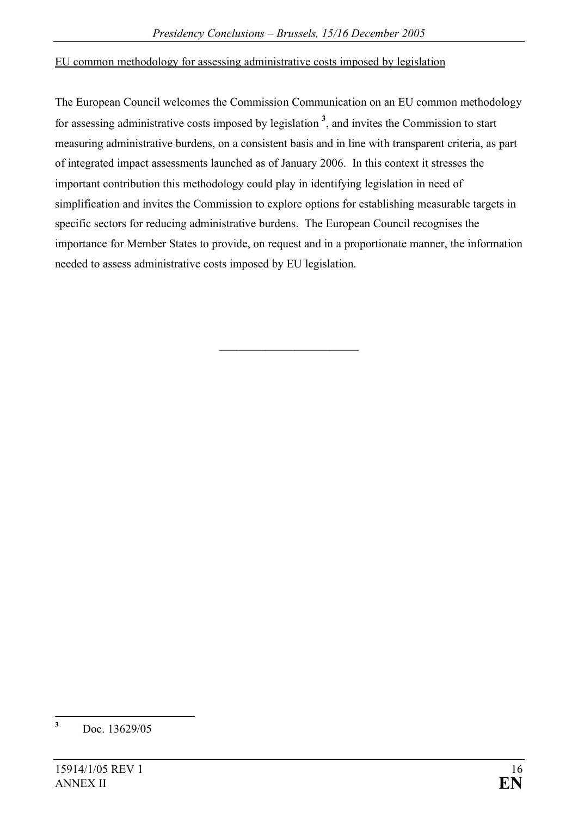#### EU common methodology for assessing administrative costs imposed by legislation

The European Council welcomes the Commission Communication on an EU common methodology for assessing administrative costs imposed by legislation **3** , and invites the Commission to start measuring administrative burdens, on a consistent basis and in line with transparent criteria, as part of integrated impact assessments launched as of January 2006. In this context it stresses the important contribution this methodology could play in identifying legislation in need of simplification and invites the Commission to explore options for establishing measurable targets in specific sectors for reducing administrative burdens. The European Council recognises the importance for Member States to provide, on request and in a proportionate manner, the information needed to assess administrative costs imposed by EU legislation.

 $\overline{\phantom{a}}$  , which is a set of the set of the set of the set of the set of the set of the set of the set of the set of the set of the set of the set of the set of the set of the set of the set of the set of the set of th

**<sup>3</sup>** Doc. 13629/05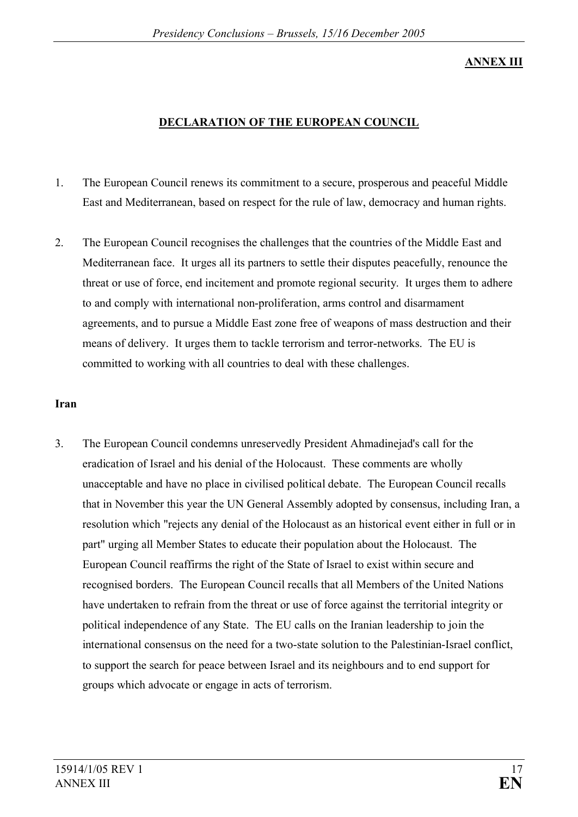#### **ANNEX III**

#### **DECLARATION OF THE EUROPEAN COUNCIL**

- 1. The European Council renews its commitment to a secure, prosperous and peaceful Middle East and Mediterranean, based on respect for the rule of law, democracy and human rights.
- 2. The European Council recognises the challenges that the countries of the Middle East and Mediterranean face. It urges all its partners to settle their disputes peacefully, renounce the threat or use of force, end incitement and promote regional security. It urges them to adhere to and comply with international non-proliferation, arms control and disarmament agreements, and to pursue a Middle East zone free of weapons of mass destruction and their means of delivery. It urges them to tackle terrorism and terror-networks. The EU is committed to working with all countries to deal with these challenges.

#### **Iran**

3. The European Council condemns unreservedly President Ahmadinejad's call for the eradication of Israel and his denial of the Holocaust. These comments are wholly unacceptable and have no place in civilised political debate. The European Council recalls that in November this year the UN General Assembly adopted by consensus, including Iran, a resolution which "rejects any denial of the Holocaust as an historical event either in full or in part" urging all Member States to educate their population about the Holocaust. The European Council reaffirms the right of the State of Israel to exist within secure and recognised borders. The European Council recalls that all Members of the United Nations have undertaken to refrain from the threat or use of force against the territorial integrity or political independence of any State. The EU calls on the Iranian leadership to join the international consensus on the need for a two-state solution to the Palestinian-Israel conflict, to support the search for peace between Israel and its neighbours and to end support for groups which advocate or engage in acts of terrorism.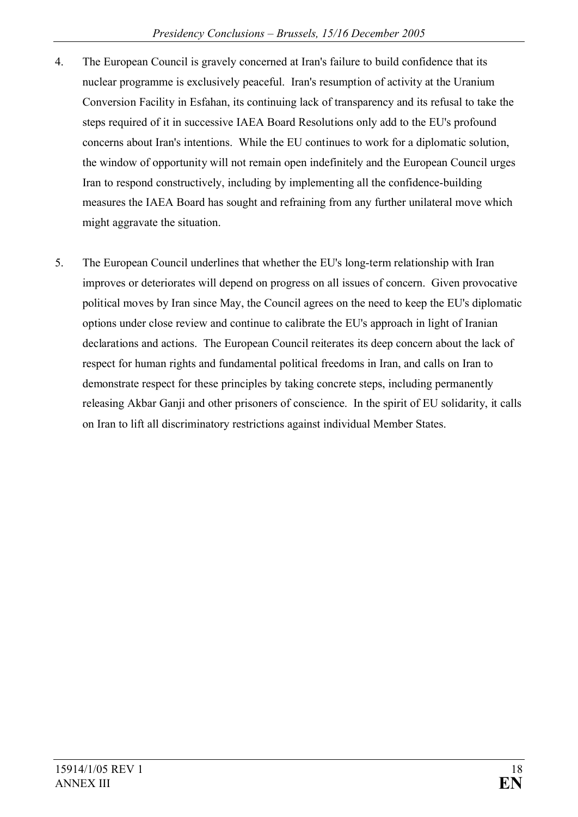- 4. The European Council is gravely concerned at Iran's failure to build confidence that its nuclear programme is exclusively peaceful. Iran's resumption of activity at the Uranium Conversion Facility in Esfahan, its continuing lack of transparency and its refusal to take the steps required of it in successive IAEA Board Resolutions only add to the EU's profound concerns about Iran's intentions. While the EU continues to work for a diplomatic solution, the window of opportunity will not remain open indefinitely and the European Council urges Iran to respond constructively, including by implementing all the confidence-building measures the IAEA Board has sought and refraining from any further unilateral move which might aggravate the situation.
- 5. The European Council underlines that whether the EU's long-term relationship with Iran improves or deteriorates will depend on progress on all issues of concern. Given provocative political moves by Iran since May, the Council agrees on the need to keep the EU's diplomatic options under close review and continue to calibrate the EU's approach in light of Iranian declarations and actions. The European Council reiterates its deep concern about the lack of respect for human rights and fundamental political freedoms in Iran, and calls on Iran to demonstrate respect for these principles by taking concrete steps, including permanently releasing Akbar Ganji and other prisoners of conscience. In the spirit of EU solidarity, it calls on Iran to lift all discriminatory restrictions against individual Member States.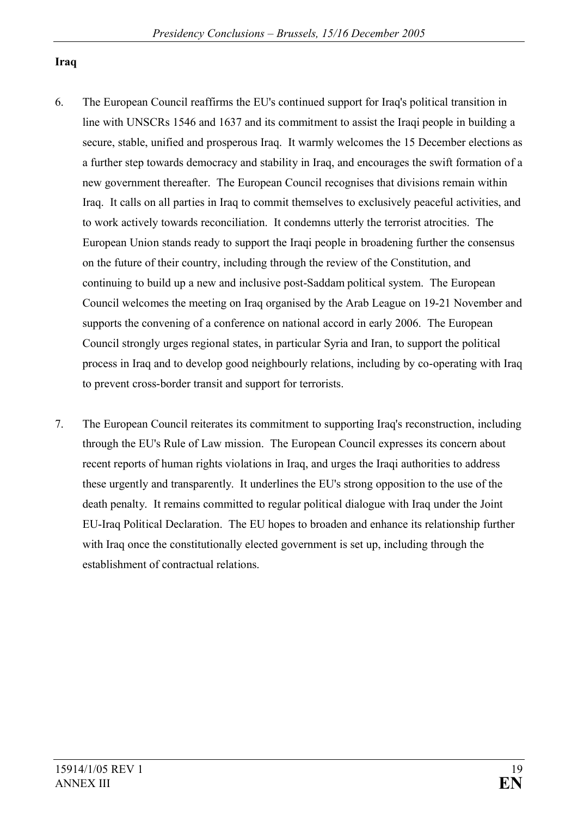#### **Iraq**

- 6. The European Council reaffirms the EU's continued support for Iraq's political transition in line with UNSCRs 1546 and 1637 and its commitment to assist the Iraqi people in building a secure, stable, unified and prosperous Iraq. It warmly welcomes the 15 December elections as a further step towards democracy and stability in Iraq, and encourages the swift formation of a new government thereafter. The European Council recognises that divisions remain within Iraq. It calls on all parties in Iraq to commit themselves to exclusively peaceful activities, and to work actively towards reconciliation. It condemns utterly the terrorist atrocities. The European Union stands ready to support the Iraqi people in broadening further the consensus on the future of their country, including through the review of the Constitution, and continuing to build up a new and inclusive post-Saddam political system. The European Council welcomes the meeting on Iraq organised by the Arab League on 19-21 November and supports the convening of a conference on national accord in early 2006. The European Council strongly urges regional states, in particular Syria and Iran, to support the political process in Iraq and to develop good neighbourly relations, including by co-operating with Iraq to prevent cross-border transit and support for terrorists.
- 7. The European Council reiterates its commitment to supporting Iraq's reconstruction, including through the EU's Rule of Law mission. The European Council expresses its concern about recent reports of human rights violations in Iraq, and urges the Iraqi authorities to address these urgently and transparently. It underlines the EU's strong opposition to the use of the death penalty. It remains committed to regular political dialogue with Iraq under the Joint EU-Iraq Political Declaration. The EU hopes to broaden and enhance its relationship further with Iraq once the constitutionally elected government is set up, including through the establishment of contractual relations.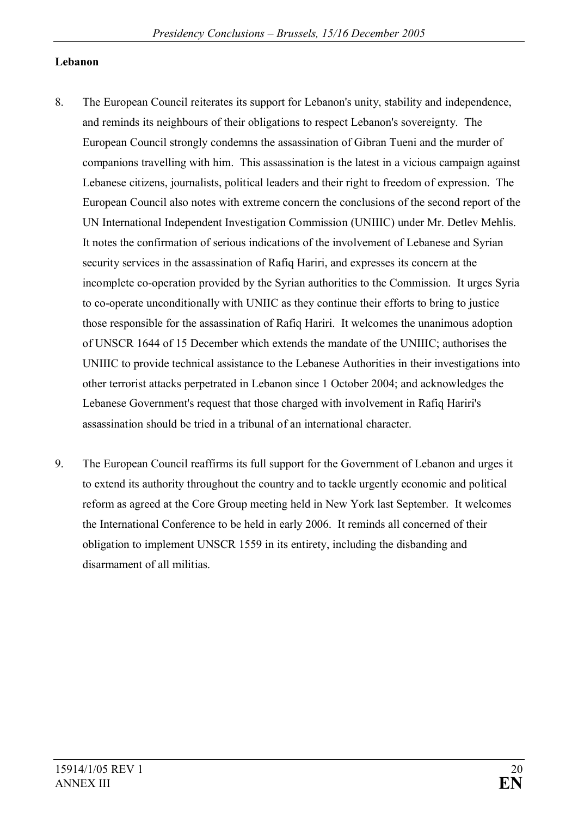#### **Lebanon**

- 8. The European Council reiterates its support for Lebanon's unity, stability and independence, and reminds its neighbours of their obligations to respect Lebanon's sovereignty. The European Council strongly condemns the assassination of Gibran Tueni and the murder of companions travelling with him. This assassination is the latest in a vicious campaign against Lebanese citizens, journalists, political leaders and their right to freedom of expression. The European Council also notes with extreme concern the conclusions of the second report of the UN International Independent Investigation Commission (UNIIIC) under Mr. Detlev Mehlis. It notes the confirmation of serious indications of the involvement of Lebanese and Syrian security services in the assassination of Rafiq Hariri, and expresses its concern at the incomplete co-operation provided by the Syrian authorities to the Commission. It urges Syria to co-operate unconditionally with UNIIC as they continue their efforts to bring to justice those responsible for the assassination of Rafiq Hariri. It welcomes the unanimous adoption of UNSCR 1644 of 15 December which extends the mandate of the UNIIIC; authorises the UNIIIC to provide technical assistance to the Lebanese Authorities in their investigations into other terrorist attacks perpetrated in Lebanon since 1 October 2004; and acknowledges the Lebanese Government's request that those charged with involvement in Rafiq Hariri's assassination should be tried in a tribunal of an international character.
- 9. The European Council reaffirms its full support for the Government of Lebanon and urges it to extend its authority throughout the country and to tackle urgently economic and political reform as agreed at the Core Group meeting held in New York last September. It welcomes the International Conference to be held in early 2006. It reminds all concerned of their obligation to implement UNSCR 1559 in its entirety, including the disbanding and disarmament of all militias.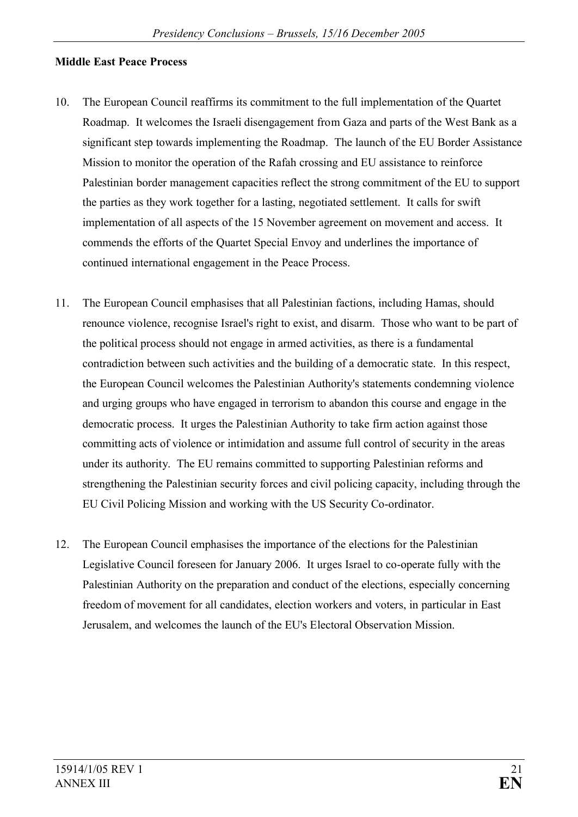#### **Middle East Peace Process**

- 10. The European Council reaffirms its commitment to the full implementation of the Quartet Roadmap. It welcomes the Israeli disengagement from Gaza and parts of the West Bank as a significant step towards implementing the Roadmap. The launch of the EU Border Assistance Mission to monitor the operation of the Rafah crossing and EU assistance to reinforce Palestinian border management capacities reflect the strong commitment of the EU to support the parties as they work together for a lasting, negotiated settlement. It calls for swift implementation of all aspects of the 15 November agreement on movement and access. It commends the efforts of the Quartet Special Envoy and underlines the importance of continued international engagement in the Peace Process.
- 11. The European Council emphasises that all Palestinian factions, including Hamas, should renounce violence, recognise Israel's right to exist, and disarm. Those who want to be part of the political process should not engage in armed activities, as there is a fundamental contradiction between such activities and the building of a democratic state. In this respect, the European Council welcomes the Palestinian Authority's statements condemning violence and urging groups who have engaged in terrorism to abandon this course and engage in the democratic process. It urges the Palestinian Authority to take firm action against those committing acts of violence or intimidation and assume full control of security in the areas under its authority. The EU remains committed to supporting Palestinian reforms and strengthening the Palestinian security forces and civil policing capacity, including through the EU Civil Policing Mission and working with the US Security Co-ordinator.
- 12. The European Council emphasises the importance of the elections for the Palestinian Legislative Council foreseen for January 2006. It urges Israel to co-operate fully with the Palestinian Authority on the preparation and conduct of the elections, especially concerning freedom of movement for all candidates, election workers and voters, in particular in East Jerusalem, and welcomes the launch of the EU's Electoral Observation Mission.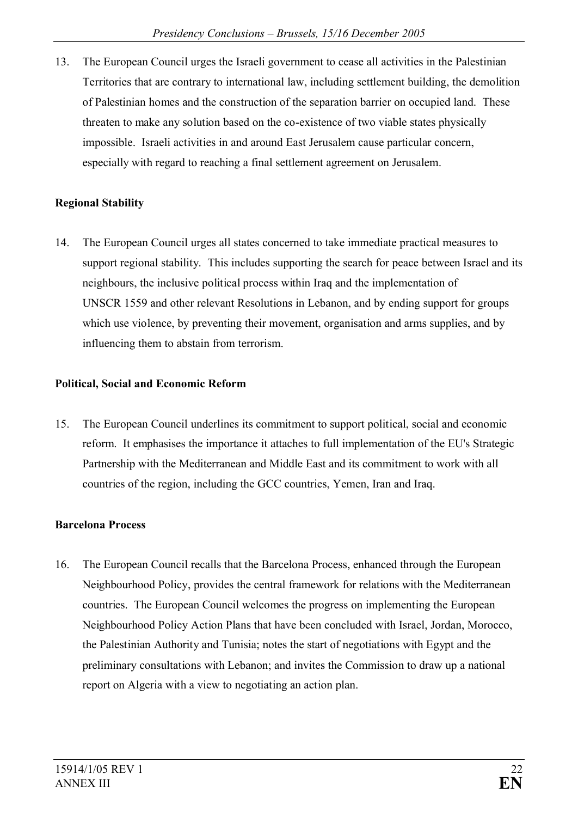13. The European Council urges the Israeli government to cease all activities in the Palestinian Territories that are contrary to international law, including settlement building, the demolition of Palestinian homes and the construction of the separation barrier on occupied land. These threaten to make any solution based on the co-existence of two viable states physically impossible. Israeli activities in and around East Jerusalem cause particular concern, especially with regard to reaching a final settlement agreement on Jerusalem.

### **Regional Stability**

14. The European Council urges all states concerned to take immediate practical measures to support regional stability. This includes supporting the search for peace between Israel and its neighbours, the inclusive political process within Iraq and the implementation of UNSCR 1559 and other relevant Resolutions in Lebanon, and by ending support for groups which use violence, by preventing their movement, organisation and arms supplies, and by influencing them to abstain from terrorism.

### **Political, Social and Economic Reform**

15. The European Council underlines its commitment to support political, social and economic reform. It emphasises the importance it attaches to full implementation of the EU's Strategic Partnership with the Mediterranean and Middle East and its commitment to work with all countries of the region, including the GCC countries, Yemen, Iran and Iraq.

# **Barcelona Process**

16. The European Council recalls that the Barcelona Process, enhanced through the European Neighbourhood Policy, provides the central framework for relations with the Mediterranean countries. The European Council welcomes the progress on implementing the European Neighbourhood Policy Action Plans that have been concluded with Israel, Jordan, Morocco, the Palestinian Authority and Tunisia; notes the start of negotiations with Egypt and the preliminary consultations with Lebanon; and invites the Commission to draw up a national report on Algeria with a view to negotiating an action plan.